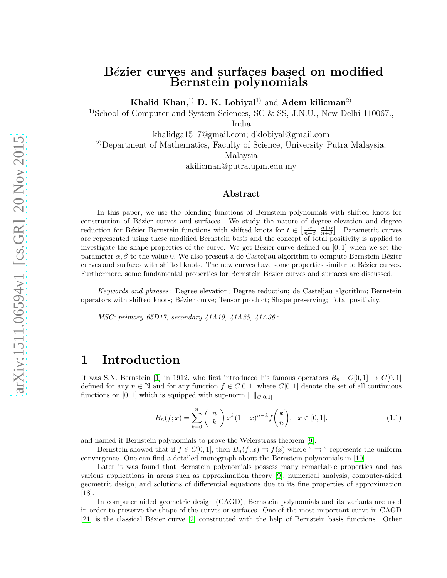### Bézier curves and surfaces based on modified Bernstein polynomials

Khalid Khan,<sup>1)</sup> D. K. Lobiyal<sup>1)</sup> and Adem kilicman<sup>2)</sup>

<sup>1)</sup>School of Computer and System Sciences, SC & SS, J.N.U., New Delhi-110067.

India

khalidga1517@gmail.com; dklobiyal@gmail.com

<sup>2)</sup>Department of Mathematics, Faculty of Science, University Putra Malaysia,

Malaysia

akilicman@putra.upm.edu.my

#### Abstract

In this paper, we use the blending functions of Bernstein polynomials with shifted knots for construction of Bézier curves and surfaces. We study the nature of degree elevation and degree reduction for Bézier Bernstein functions with shifted knots for  $t \in \left[\frac{\alpha}{n+\beta}, \frac{n+\alpha}{n+\beta}\right]$ . Parametric curves are represented using these modified Bernstein basis and the concept of total positivity is applied to investigate the shape properties of the curve. We get Bézier curve defined on  $[0, 1]$  when we set the parameter  $\alpha, \beta$  to the value 0. We also present a de Casteljau algorithm to compute Bernstein Bézier curves and surfaces with shifted knots. The new curves have some properties similar to Bézier curves. Furthermore, some fundamental properties for Bernstein Bézier curves and surfaces are discussed.

*Keywords and phrases*: Degree elevation; Degree reduction; de Casteljau algorithm; Bernstein operators with shifted knots; B´ezier curve; Tensor product; Shape preserving; Total positivity.

*MSC: primary 65D17; secondary 41A10, 41A25, 41A36.*:

## 1 Introduction

It was S.N. Bernstein [\[1\]](#page-9-0) in 1912, who first introduced his famous operators  $B_n : C[0,1] \to C[0,1]$ defined for any  $n \in \mathbb{N}$  and for any function  $f \in C[0,1]$  where  $C[0,1]$  denote the set of all continuous functions on [0, 1] which is equipped with sup-norm  $\|.\|_{C[0,1]}$ 

$$
B_n(f;x) = \sum_{k=0}^n {n \choose k} x^k (1-x)^{n-k} f(\frac{k}{n}), \quad x \in [0,1].
$$
 (1.1)

and named it Bernstein polynomials to prove the Weierstrass theorem [\[9\]](#page-10-0).

Bernstein showed that if  $f \in C[0,1]$ , then  $B_n(f; x) \Rightarrow f(x)$  where "  $\Rightarrow$  " represents the uniform convergence. One can find a detailed monograph about the Bernstein polynomials in [\[10\]](#page-10-1).

Later it was found that Bernstein polynomials possess many remarkable properties and has various applications in areas such as approximation theory [\[9\]](#page-10-0), numerical analysis, computer-aided geometric design, and solutions of differential equations due to its fine properties of approximation [\[18\]](#page-10-2).

In computer aided geometric design (CAGD), Bernstein polynomials and its variants are used in order to preserve the shape of the curves or surfaces. One of the most important curve in CAGD [\[21\]](#page-10-3) is the classical Bézier curve [\[2\]](#page-9-1) constructed with the help of Bernstein basis functions. Other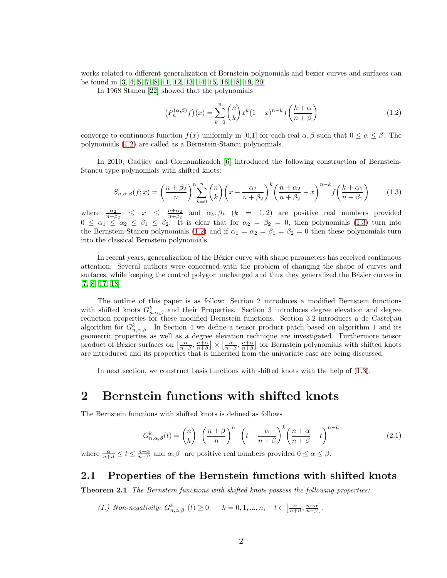works related to different generalization of Bernstein polynomials and bezier curves and surfaces can be found in [\[3,](#page-9-2) [4,](#page-9-3) [5,](#page-9-4) [7,](#page-10-4) [8,](#page-10-5) [11,](#page-10-6) [12,](#page-10-7) [13,](#page-10-8) [14,](#page-10-9) [15,](#page-10-10) [16,](#page-10-11) [18,](#page-10-2) [19,](#page-10-12) [20\]](#page-10-13)

In 1968 Stancu [\[22\]](#page-10-14) showed that the polynomials

<span id="page-1-0"></span>
$$
(P_n^{(\alpha,\beta)}f)(x) = \sum_{k=0}^n \binom{n}{k} x^k (1-x)^{n-k} f\left(\frac{k+\alpha}{n+\beta}\right)
$$
\n(1.2)

converge to continuous function  $f(x)$  uniformly in [0,1] for each real  $\alpha, \beta$  such that  $0 \leq \alpha \leq \beta$ . The polynomials [\(1.2\)](#page-1-0) are called as a Bernstein-Stancu polynomials.

In 2010, Gadjiev and Gorhanalizadeh [\[6\]](#page-10-15) introduced the following construction of Bernstein-Stancu type polynomials with shifted knots:

<span id="page-1-1"></span>
$$
S_{n,\alpha,\beta}(f;x) = \left(\frac{n+\beta_2}{n}\right)^n \sum_{k=0}^n \binom{n}{k} \left(x - \frac{\alpha_2}{n+\beta_2}\right)^k \left(\frac{n+\alpha_2}{n+\beta_2} - x\right)^{n-k} f\left(\frac{k+\alpha_1}{n+\beta_1}\right) \tag{1.3}
$$

where  $\frac{\alpha_2}{n+\beta_2} \leq x \leq \frac{n+\alpha_2}{n+\beta_2}$  and  $\alpha_k, \beta_k$   $(k = 1, 2)$  are positive real numbers provided  $0 \leq \alpha_1 \leq \alpha_2 \leq \beta_1 \leq \beta_2$ . It is clear that for  $\alpha_2 = \beta_2 = 0$ , then polynomials [\(1.3\)](#page-1-1) turn into the Bernstein-Stancu polynomials [\(1.2\)](#page-1-0) and if  $\alpha_1 = \alpha_2 = \beta_1 = \beta_2 = 0$  then these polynomials turn into the classical Bernstein polynomials.

In recent years, generalization of the Bézier curve with shape parameters has received continuous attention. Several authors were concerned with the problem of changing the shape of curves and surfaces, while keeping the control polygon unchanged and thus they generalized the Bézier curves in [\[7,](#page-10-4) [8,](#page-10-5) [17,](#page-10-16) [18\]](#page-10-2).

The outline of this paper is as follow: Section 2 introduces a modified Bernstein functions with shifted knots  $G_{n,\alpha,\beta}^k$  and their Properties. Section 3 introduces degree elevation and degree reduction properties for these modified Bernstein functions. Section 3.2 introduces a de Casteljau algorithm for  $G_{n,\alpha,\beta}^k$ . In Section 4 we define a tensor product patch based on algorithm 1 and its geometric properties as well as a degree elevation technique are investigated. Furthermore tensor product of Bézier surfaces on  $\left[\frac{\alpha}{n+\beta}, \frac{n+\alpha}{n+\beta}\right] \times \left[\frac{\alpha}{n+\beta}, \frac{n+\alpha}{n+\beta}\right]$  for Bernstein polynomials with shifted knots are introduced and its properties that is inherited from the univariate case are being discussed.

In next section, we construct basis functions with shifted knots with the help of [\(1.3\)](#page-1-1).

### 2 Bernstein functions with shifted knots

The Bernstein functions with shifted knots is defined as follows

<span id="page-1-2"></span>
$$
G_{n,\alpha,\beta}^{k}(t) = \binom{n}{k} \left(\frac{n+\beta}{n}\right)^{n} \left(t - \frac{\alpha}{n+\beta}\right)^{k} \left(\frac{n+\alpha}{n+\beta} - t\right)^{n-k}
$$
(2.1)

where  $\frac{\alpha}{n+\beta} \le t \le \frac{n+\alpha}{n+\beta}$  and  $\alpha, \beta$  are positive real numbers provided  $0 \le \alpha \le \beta$ .

#### 2.1 Properties of the Bernstein functions with shifted knots

Theorem 2.1 *The Bernstein functions with shifted knots possess the following properties:*

(1.) Non-negativity: 
$$
G_{n,\alpha,\beta}^k
$$
  $(t) \ge 0$   $k = 0, 1, ..., n$ ,  $t \in \left[\frac{\alpha}{n+\beta}, \frac{n+\alpha}{n+\beta}\right]$ .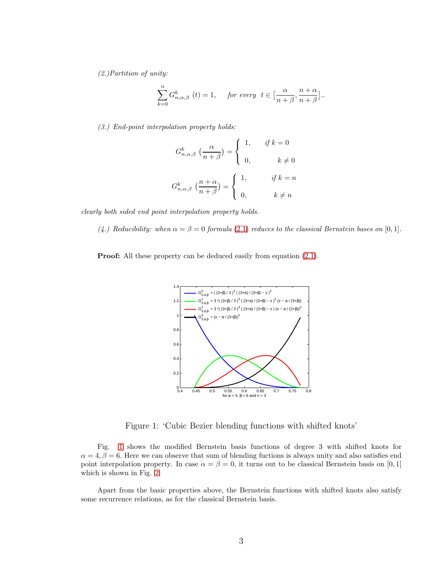*(2.)Partition of unity:*

$$
\sum_{k=0}^{n} G_{n,\alpha,\beta}^{k} (t) = 1, \quad \text{ for every } t \in \left[\frac{\alpha}{n+\beta}, \frac{n+\alpha}{n+\beta}\right].
$$

*(3.) End-point interpolation property holds:*

$$
G_{n,\alpha,\beta}^{k} \left(\frac{\alpha}{n+\beta}\right) = \begin{cases} 1, & \text{if } k = 0 \\ 0, & k \neq 0 \end{cases}
$$

$$
G_{n,\alpha,\beta}^{k} \left(\frac{n+\alpha}{n+\beta}\right) = \begin{cases} 1, & \text{if } k = n \\ 0, & k \neq n \end{cases}
$$

*clearly both sided end point interpolation property holds.*

(4.) Reducibility: when  $\alpha = \beta = 0$  formula [\(2](#page-1-2).1) reduces to the classical Bernstein bases on [0, 1].

**Proof:** All these property can be deduced easily from equation  $(2.1)$ .



<span id="page-2-0"></span>Figure 1: 'Cubic Bezier blending functions with shifted knots'

Fig. [1](#page-2-0) shows the modified Bernstein basis functions of degree 3 with shifted knots for  $\alpha = 4, \beta = 6$ . Here we can observe that sum of blending fuctions is always unity and also satisfies end point interpolation property. In case  $\alpha = \beta = 0$ , it turns out to be classical Bernstein basis on [0, 1] which is shown in Fig. [2](#page-3-0).

Apart from the basic properties above, the Bernstein functions with shifted knots also satisfy some recurrence relations, as for the classical Bernstein basis.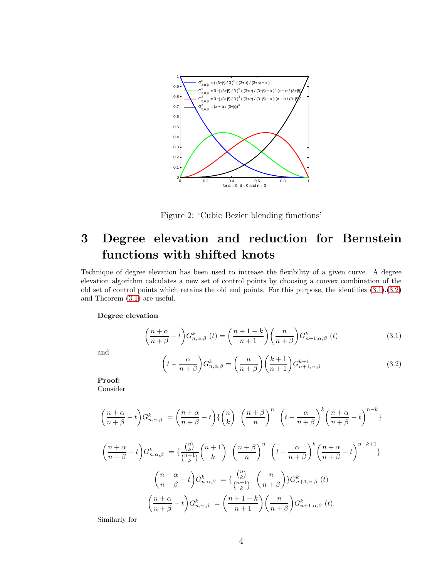

<span id="page-3-0"></span>Figure 2: 'Cubic Bezier blending functions'

# 3 Degree elevation and reduction for Bernstein functions with shifted knots

Technique of degree elevation has been used to increase the flexibility of a given curve. A degree elevation algorithm calculates a new set of control points by choosing a convex combination of the old set of control points which retains the old end points. For this purpose, the identities  $(3.1),(3.2)$  $(3.1),(3.2)$ and Theorem [\(3.1\)](#page-4-0) are useful.

#### Degree elevation

<span id="page-3-1"></span>
$$
\left(\frac{n+\alpha}{n+\beta} - t\right) G_{n,\alpha,\beta}^k\left(t\right) = \left(\frac{n+1-k}{n+1}\right) \left(\frac{n}{n+\beta}\right) G_{n+1,\alpha,\beta}^k\left(t\right) \tag{3.1}
$$

and

<span id="page-3-2"></span>
$$
\left(t - \frac{\alpha}{n+\beta}\right) G_{n,\alpha,\beta}^k = \left(\frac{n}{n+\beta}\right) \left(\frac{k+1}{n+1}\right) G_{n+1,\alpha,\beta}^{k+1}
$$
\n(3.2)

Proof:

Consider

$$
\left(\frac{n+\alpha}{n+\beta}-t\right)G_{n,\alpha,\beta}^{k} = \left(\frac{n+\alpha}{n+\beta}-t\right)\left\{\binom{n}{k}\right\}\left(\frac{n+\beta}{n}\right)^{n}\left(t-\frac{\alpha}{n+\beta}\right)^{k}\left(\frac{n+\alpha}{n+\beta}-t\right)^{n-k}\right\}
$$

$$
\left(\frac{n+\alpha}{n+\beta}-t\right)G_{n,\alpha,\beta}^{k} = \left\{\frac{\binom{n}{k}}{\binom{n+1}{k}}\binom{n+1}{k}\left(\frac{n+\beta}{n}\right)^{n}\left(t-\frac{\alpha}{n+\beta}\right)^{k}\left(\frac{n+\alpha}{n+\beta}-t\right)^{n-k+1}\right\}
$$

$$
\left(\frac{n+\alpha}{n+\beta}-t\right)G_{n,\alpha,\beta}^{k} = \left\{\frac{\binom{n}{k}}{\binom{n+1}{k}}\left(\frac{n}{n+\beta}\right)G_{n+1,\alpha,\beta}^{k}(t)
$$

$$
\left(\frac{n+\alpha}{n+\beta}-t\right)G_{n,\alpha,\beta}^{k} = \left(\frac{n+1-k}{n+1}\right)\left(\frac{n}{n+\beta}\right)G_{n+1,\alpha,\beta}^{k}(t).
$$

Similarly for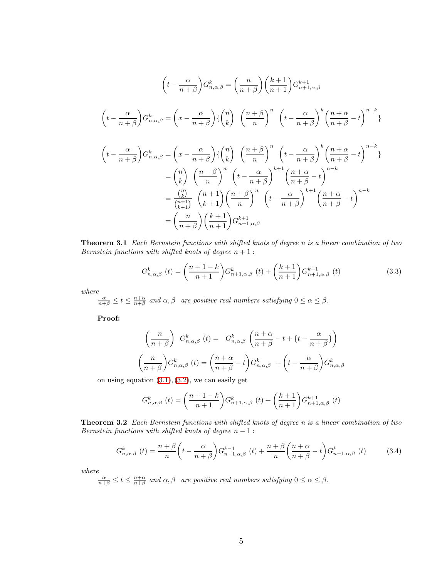$$
\left(t - \frac{\alpha}{n+\beta}\right) G_{n,\alpha,\beta}^{k} = \left(\frac{n}{n+\beta}\right) \left(\frac{k+1}{n+1}\right) G_{n+1,\alpha,\beta}^{k+1}
$$
\n
$$
\left(t - \frac{\alpha}{n+\beta}\right) G_{n,\alpha,\beta}^{k} = \left(x - \frac{\alpha}{n+\beta}\right) \left\{\binom{n}{k}\right\} \left(\frac{n+\beta}{n}\right)^{n} \left(t - \frac{\alpha}{n+\beta}\right)^{k} \left(\frac{n+\alpha}{n+\beta} - t\right)^{n-k} \right\}
$$
\n
$$
\left(t - \frac{\alpha}{n+\beta}\right) G_{n,\alpha,\beta}^{k} = \left(x - \frac{\alpha}{n+\beta}\right) \left\{\binom{n}{k}\right\} \left(\frac{n+\beta}{n}\right)^{n} \left(t - \frac{\alpha}{n+\beta}\right)^{k} \left(\frac{n+\alpha}{n+\beta} - t\right)^{n-k} \right\}
$$
\n
$$
= \binom{n}{k} \left(\frac{n+\beta}{n}\right)^{n} \left(t - \frac{\alpha}{n+\beta}\right)^{k+1} \left(\frac{n+\alpha}{n+\beta} - t\right)^{n-k}
$$
\n
$$
= \frac{\binom{n}{k}}{\binom{n+1}{k+1}} \left(\frac{n+\beta}{k+1}\right) \left(\frac{n+\beta}{n}\right)^{n} \left(t - \frac{\alpha}{n+\beta}\right)^{k+1} \left(\frac{n+\alpha}{n+\beta} - t\right)^{n-k}
$$
\n
$$
= \left(\frac{n}{n+\beta}\right) \left(\frac{k+1}{n+1}\right) G_{n+1,\alpha,\beta}^{k+1}
$$

<span id="page-4-0"></span>Theorem 3.1 *Each Bernstein functions with shifted knots of degree n is a linear combination of two Bernstein functions with shifted knots of degree*  $n + 1$ :

$$
G_{n,\alpha,\beta}^{k} (t) = \left(\frac{n+1-k}{n+1}\right) G_{n+1,\alpha,\beta}^{k} (t) + \left(\frac{k+1}{n+1}\right) G_{n+1,\alpha,\beta}^{k+1} (t)
$$
\n(3.3)

*where*

 $\frac{\alpha}{n+\beta} \le t \le \frac{n+\alpha}{n+\beta}$  and  $\alpha, \beta$  are positive real numbers satisfying  $0 \le \alpha \le \beta$ .

Proof:

$$
\left(\frac{n}{n+\beta}\right) G_{n,\alpha,\beta}^{k}(t) = G_{n,\alpha,\beta}^{k}\left(\frac{n+\alpha}{n+\beta} - t + \left\{t - \frac{\alpha}{n+\beta}\right\}\right)
$$

$$
\left(\frac{n}{n+\beta}\right) G_{n,\alpha,\beta}^{k}(t) = \left(\frac{n+\alpha}{n+\beta} - t\right) G_{n,\alpha,\beta}^{k}(t) + \left(t - \frac{\alpha}{n+\beta}\right) G_{n,\alpha,\beta}^{k}(t)
$$

on using equation  $(3.1), (3.2)$  $(3.1), (3.2)$  $(3.1), (3.2)$  $(3.1), (3.2)$ , we can easily get

$$
G_{n,\alpha,\beta}^{k} (t) = \left(\frac{n+1-k}{n+1}\right) G_{n+1,\alpha,\beta}^{k} (t) + \left(\frac{k+1}{n+1}\right) G_{n+1,\alpha,\beta}^{k+1} (t)
$$

<span id="page-4-1"></span>Theorem 3.2 *Each Bernstein functions with shifted knots of degree n is a linear combination of two Bernstein functions with shifted knots of degree*  $n - 1$ :

$$
G_{n,\alpha,\beta}^{k}(t) = \frac{n+\beta}{n} \left( t - \frac{\alpha}{n+\beta} \right) G_{n-1,\alpha,\beta}^{k-1}(t) + \frac{n+\beta}{n} \left( \frac{n+\alpha}{n+\beta} - t \right) G_{n-1,\alpha,\beta}^{k}(t) \tag{3.4}
$$

*where*

 $\frac{\alpha}{n+\beta} \le t \le \frac{n+\alpha}{n+\beta}$  and  $\alpha, \beta$  are positive real numbers satisfying  $0 \le \alpha \le \beta$ .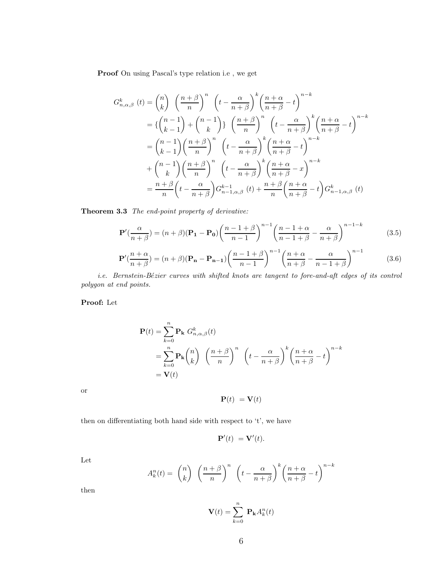Proof On using Pascal's type relation i.e , we get

$$
G_{n,\alpha,\beta}^{k}(t) = {n \choose k} \left(\frac{n+\beta}{n}\right)^{n} \left(t - \frac{\alpha}{n+\beta}\right)^{k} \left(\frac{n+\alpha}{n+\beta} - t\right)^{n-k}
$$
  
\n
$$
= \left\{{n-1 \choose k-1} + {n-1 \choose k}\right\} \left(\frac{n+\beta}{n}\right)^{n} \left(t - \frac{\alpha}{n+\beta}\right)^{k} \left(\frac{n+\alpha}{n+\beta} - t\right)^{n-k}
$$
  
\n
$$
= {n-1 \choose k-1} \left(\frac{n+\beta}{n}\right)^{n} \left(t - \frac{\alpha}{n+\beta}\right)^{k} \left(\frac{n+\alpha}{n+\beta} - t\right)^{n-k}
$$
  
\n
$$
+ {n-1 \choose k} \left(\frac{n+\beta}{n}\right)^{n} \left(t - \frac{\alpha}{n+\beta}\right)^{k} \left(\frac{n+\alpha}{n+\beta} - x\right)^{n-k}
$$
  
\n
$$
= \frac{n+\beta}{n} \left(t - \frac{\alpha}{n+\beta}\right) G_{n-1,\alpha,\beta}^{k-1}(t) + \frac{n+\beta}{n} \left(\frac{n+\alpha}{n+\beta} - t\right) G_{n-1,\alpha,\beta}^{k}(t)
$$

Theorem 3.3 *The end-point property of derivative:*

$$
\mathbf{P}'(\frac{\alpha}{n+\beta}) = (n+\beta)(\mathbf{P_1} - \mathbf{P_0})\left(\frac{n-1+\beta}{n-1}\right)^{n-1}\left(\frac{n-1+\alpha}{n-1+\beta} - \frac{\alpha}{n+\beta}\right)^{n-1-k}
$$
(3.5)

$$
\mathbf{P}'(\frac{n+\alpha}{n+\beta}) = (n+\beta)(\mathbf{P_n} - \mathbf{P_{n-1}}) \left(\frac{n-1+\beta}{n-1}\right)^{n-1} \left(\frac{n+\alpha}{n+\beta} - \frac{\alpha}{n-1+\beta}\right)^{n-1}
$$
(3.6)

*i.e. Bernstein-Bézier curves with shifted knots are tangent to fore-and-aft edges of its control polygon at end points.*

Proof: Let

$$
\mathbf{P}(t) = \sum_{k=0}^{n} \mathbf{P_k} G_{n,\alpha,\beta}^k(t)
$$
  
= 
$$
\sum_{k=0}^{n} \mathbf{P_k} {n \choose k} \left(\frac{n+\beta}{n}\right)^n \left(t - \frac{\alpha}{n+\beta}\right)^k \left(\frac{n+\alpha}{n+\beta} - t\right)^{n-k}
$$
  
= 
$$
\mathbf{V}(t)
$$

or

$$
\mathbf{P}(t) = \mathbf{V}(t)
$$

then on differentiating both hand side with respect to 't', we have

$$
\mathbf{P}'(t) = \mathbf{V}'(t).
$$

Let

$$
A_k^n(t) = \binom{n}{k} \left(\frac{n+\beta}{n}\right)^n \left(t - \frac{\alpha}{n+\beta}\right)^k \left(\frac{n+\alpha}{n+\beta} - t\right)^{n-k}
$$

then

$$
\mathbf{V}(t) = \sum_{k=0}^{n} \mathbf{P}_{\mathbf{k}} A_k^n(t)
$$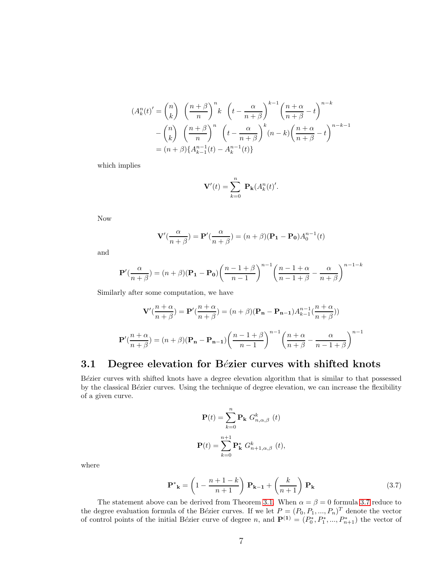$$
(A_k^n(t)' = {n \choose k} \left(\frac{n+\beta}{n}\right)^n k \left(t - \frac{\alpha}{n+\beta}\right)^{k-1} \left(\frac{n+\alpha}{n+\beta} - t\right)^{n-k}
$$

$$
- {n \choose k} \left(\frac{n+\beta}{n}\right)^n \left(t - \frac{\alpha}{n+\beta}\right)^k (n-k) \left(\frac{n+\alpha}{n+\beta} - t\right)^{n-k-1}
$$

$$
= (n+\beta) \{A_{k-1}^{n-1}(t) - A_k^{n-1}(t)\}
$$

which implies

$$
\mathbf{V}'(t) = \sum_{k=0}^{n} \mathbf{P}_{k}(A_{k}^{n}(t)')
$$

Now

$$
\mathbf{V}'(\frac{\alpha}{n+\beta}) = \mathbf{P}'(\frac{\alpha}{n+\beta}) = (n+\beta)(\mathbf{P_1} - \mathbf{P_0})A_0^{n-1}(t)
$$

and

$$
\mathbf{P}'(\frac{\alpha}{n+\beta}) = (n+\beta)(\mathbf{P_1} - \mathbf{P_0})\left(\frac{n-1+\beta}{n-1}\right)^{n-1}\left(\frac{n-1+\alpha}{n-1+\beta} - \frac{\alpha}{n+\beta}\right)^{n-1-k}
$$

Similarly after some computation, we have

$$
\mathbf{V}'(\frac{n+\alpha}{n+\beta}) = \mathbf{P}'(\frac{n+\alpha}{n+\beta}) = (n+\beta)(\mathbf{P_n} - \mathbf{P_{n-1}})A_{k-1}^{n-1}(\frac{n+\alpha}{n+\beta}))
$$

$$
\mathbf{P}'(\frac{n+\alpha}{n+\beta}) = (n+\beta)(\mathbf{P_n} - \mathbf{P_{n-1}}) \left(\frac{n-1+\beta}{n-1}\right)^{n-1} \left(\frac{n+\alpha}{n+\beta} - \frac{\alpha}{n-1+\beta}\right)^{n-1}
$$

### 3.1 Degree elevation for Bézier curves with shifted knots

Bézier curves with shifted knots have a degree elevation algorithm that is similar to that possessed by the classical Bézier curves. Using the technique of degree elevation, we can increase the flexibility of a given curve.

$$
\mathbf{P}(t) = \sum_{k=0}^{n} \mathbf{P}_{\mathbf{k}} \ G_{n,\alpha,\beta}^{k} \ (t)
$$

$$
\mathbf{P}(t) = \sum_{k=0}^{n+1} \mathbf{P}_{\mathbf{k}}^{*} \ G_{n+1,\alpha,\beta}^{k} \ (t),
$$

where

<span id="page-6-0"></span>
$$
\mathbf{P}^*_{\mathbf{k}} = \left(1 - \frac{n+1-k}{n+1}\right) \mathbf{P}_{\mathbf{k}-1} + \left(\frac{k}{n+1}\right) \mathbf{P}_{\mathbf{k}} \tag{3.7}
$$

The statement above can be derived from Theorem [3.1.](#page-4-0) When  $\alpha = \beta = 0$  formula [3.7](#page-6-0) reduce to the degree evaluation formula of the Bézier curves. If we let  $P = (P_0, P_1, ..., P_n)^T$  denote the vector of control points of the initial Bézier curve of degree n, and  $\mathbf{P}^{(1)} = (P_0^*, P_1^*, ..., P_{n+1}^*)$  the vector of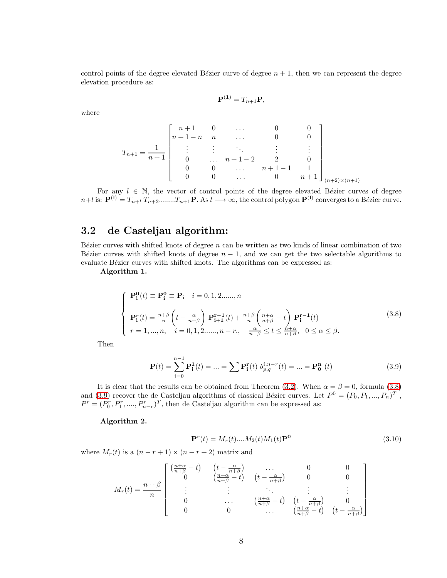control points of the degree elevated Bézier curve of degree  $n + 1$ , then we can represent the degree elevation procedure as:

$$
\mathbf{P}^{(1)} = T_{n+1}\mathbf{P},
$$

where

$$
T_{n+1} = \frac{1}{n+1} \begin{bmatrix} n+1 & 0 & \dots & 0 & 0 \\ n+1-n & n & \dots & 0 & 0 \\ \vdots & \vdots & \ddots & \vdots & \vdots \\ 0 & \dots & n+1-2 & 2 & 0 \\ 0 & 0 & \dots & n+1-1 & 1 \\ 0 & 0 & \dots & 0 & n+1 \end{bmatrix}_{(n+2)\times(n+1)}
$$

For any  $l \in \mathbb{N}$ , the vector of control points of the degree elevated Bézier curves of degree  $n+l$  is:  $\mathbf{P}^{(1)} = T_{n+l} T_{n+2} \dots T_{n+1} \mathbf{P}$ . As  $l \longrightarrow \infty$ , the control polygon  $\mathbf{P}^{(1)}$  converges to a Bézier curve.

#### 3.2 de Casteljau algorithm:

Bézier curves with shifted knots of degree  $n$  can be written as two kinds of linear combination of two Bézier curves with shifted knots of degree  $n - 1$ , and we can get the two selectable algorithms to evaluate Bézier curves with shifted knots. The algorithms can be expressed as:

Algorithm 1.

<span id="page-7-0"></span>
$$
\begin{cases}\n\mathbf{P_i^0}(t) \equiv \mathbf{P_i^0} \equiv \mathbf{P_i} \quad i = 0, 1, 2, \dots, n \\
\mathbf{P_i^r}(t) = \frac{n+\beta}{n} \left( t - \frac{\alpha}{n+\beta} \right) \mathbf{P_{i+1}^{r-1}}(t) + \frac{n+\beta}{n} \left( \frac{n+\alpha}{n+\beta} - t \right) \mathbf{P_i^{r-1}}(t) \\
r = 1, \dots, n, \quad i = 0, 1, 2, \dots, n-r, \quad \frac{\alpha}{n+\beta} \le t \le \frac{n+\alpha}{n+\beta}, \quad 0 \le \alpha \le \beta.\n\end{cases}
$$
\n(3.8)

Then

<span id="page-7-1"></span>
$$
\mathbf{P}(t) = \sum_{i=0}^{n-1} \mathbf{P}_i^1(t) = \dots = \sum \mathbf{P}_i^r(t) \ b_{p,q}^{i,n-r}(t) = \dots = \mathbf{P}_0^n \ (t)
$$
 (3.9)

It is clear that the results can be obtained from Theorem [\(3.2\)](#page-4-1). When  $\alpha = \beta = 0$ , formula [\(3.8\)](#page-7-0) and [\(3.9\)](#page-7-1) recover the de Casteljau algorithms of classical Bézier curves. Let  $P^0 = (P_0, P_1, ..., P_n)^T$ ,  $P^r = (P_0^r, P_1^r, \dots, P_{n-r}^r)^T$ , then de Casteljau algorithm can be expressed as:

#### Algorithm 2.

<span id="page-7-2"></span>
$$
\mathbf{P}^{\mathbf{r}}(t) = M_r(t) \dots M_2(t) M_1(t) \mathbf{P}^{\mathbf{0}} \tag{3.10}
$$

where  $M_r(t)$  is a  $(n - r + 1) \times (n - r + 2)$  matrix and

$$
M_r(t) = \frac{n+\beta}{n} \begin{bmatrix} \left(\frac{n+\alpha}{n+\beta} - t\right) & \left(t - \frac{\alpha}{n+\beta}\right) & \dots & 0 & 0\\ 0 & \left(\frac{n+\alpha}{n+\beta} - t\right) & \left(t - \frac{\alpha}{n+\beta}\right) & 0 & 0\\ \vdots & \vdots & \ddots & \vdots & \vdots\\ 0 & \dots & \left(\frac{n+\alpha}{n+\beta} - t\right) & \left(t - \frac{\alpha}{n+\beta}\right) & 0\\ 0 & 0 & \dots & \left(\frac{n+\alpha}{n+\beta} - t\right) & \left(t - \frac{\alpha}{n+\beta}\right) \end{bmatrix}
$$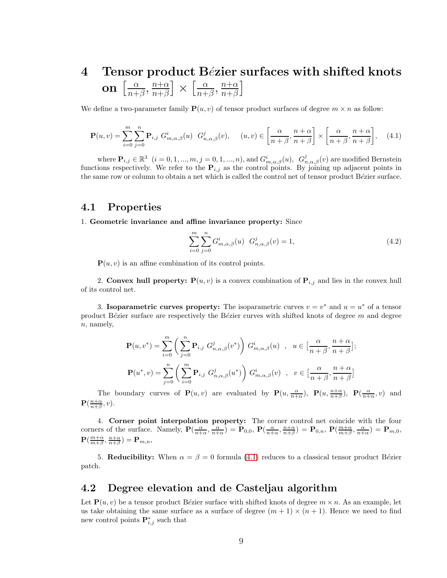#### 4 Tensor product Bézier surfaces with shifted knots on  $\left[\frac{\alpha}{n+1}\right]$  $\frac{\alpha}{n+\beta}$ ,  $\frac{n+\alpha}{n+\beta}$  $\frac{n+\alpha}{n+\beta}$   $\times$   $\left[\frac{\alpha}{n+\alpha}\right]$  $\frac{\alpha}{n+\beta}$ ,  $\frac{n+\alpha}{n+\beta}$  $\frac{n+\alpha}{n+\beta}$

We define a two-parameter family  $P(u, v)$  of tensor product surfaces of degree  $m \times n$  as follow:

<span id="page-8-0"></span>
$$
\mathbf{P}(u,v) = \sum_{i=0}^{m} \sum_{j=0}^{n} \mathbf{P}_{i,j} \ G_{m,\alpha,\beta}^{i}(u) \ G_{n,\alpha,\beta}^{j}(v), \quad (u,v) \in \left[\frac{\alpha}{n+\beta}, \frac{n+\alpha}{n+\beta}\right] \times \left[\frac{\alpha}{n+\beta}, \frac{n+\alpha}{n+\beta}\right], \quad (4.1)
$$

where  $\mathbf{P}_{i,j} \in \mathbb{R}^3$   $(i = 0, 1, ..., m, j = 0, 1, ..., n)$ , and  $G^i_{m,\alpha,\beta}(u)$ ,  $G^j_{n,\alpha,\beta}(v)$  are modified Bernstein functions respectively. We refer to the  $P_{i,j}$  as the control points. By joining up adjacent points in the same row or column to obtain a net which is called the control net of tensor product Bézier surface.

#### 4.1 Properties

1. Geometric invariance and affine invariance property: Since

$$
\sum_{i=0}^{m} \sum_{j=0}^{n} G_{m,\alpha,\beta}^{i}(u) G_{n,\alpha,\beta}^{j}(v) = 1,
$$
\n(4.2)

 $P(u, v)$  is an affine combination of its control points.

2. Convex hull property:  $P(u, v)$  is a convex combination of  $P_{i,j}$  and lies in the convex hull of its control net.

3. Isoparametric curves property: The isoparametric curves  $v = v^*$  and  $u = u^*$  of a tensor product B $\acute{e}z$ ier surface are respectively the B $\acute{e}z$ ier curves with shifted knots of degree m and degree n, namely,

$$
\mathbf{P}(u, v^*) = \sum_{i=0}^m \left( \sum_{j=0}^n \mathbf{P}_{i,j} G_{n,\alpha,\beta}^j(v^*) \right) G_{m,\alpha,\beta}^i(u) , u \in \left[ \frac{\alpha}{n+\beta}, \frac{n+\alpha}{n+\beta} \right];
$$
  

$$
\mathbf{P}(u^*, v) = \sum_{j=0}^n \left( \sum_{i=0}^m \mathbf{P}_{i,j} G_{n,\alpha,\beta}^j(u^*) \right) G_{m,\alpha,\beta}^i(v) , v \in \left[ \frac{\alpha}{n+\beta}, \frac{n+\alpha}{n+\beta} \right]
$$

The boundary curves of  $\mathbf{P}(u, v)$  are evaluated by  $\mathbf{P}(u, \frac{\alpha}{n+\alpha})$ ,  $\mathbf{P}(u, \frac{n+\alpha}{n+\beta})$ ,  $\mathbf{P}(\frac{\alpha}{n+\alpha}, v)$  and  $\mathbf{P}(\frac{n+\alpha}{n+\beta},v).$ 

4. Corner point interpolation property: The corner control net coincide with the four corners of the surface. Namely,  $\mathbf{P}(\frac{\alpha}{n+\alpha}, \frac{\alpha}{n+\alpha}) = \mathbf{P}_{0,0}$ ,  $\mathbf{P}(\frac{\alpha}{n+\alpha}, \frac{n+\alpha}{n+\beta}) = \mathbf{P}_{0,n}$ ,  $\mathbf{P}(\frac{m+\alpha}{m+\beta}, \frac{\alpha}{n+\alpha}) = \mathbf{P}_{m,0}$ ,  $\mathbf{P}(\frac{m+\alpha}{m+\beta},\frac{n+\alpha}{n+\beta})=\mathbf{P}_{m,n},$ 

5. Reducibility: When  $\alpha = \beta = 0$  formula [\(4.1\)](#page-8-0) reduces to a classical tensor product Bézier patch.

#### 4.2 Degree elevation and de Casteljau algorithm

Let  $\mathbf{P}(u, v)$  be a tensor product Bézier surface with shifted knots of degree  $m \times n$ . As an example, let us take obtaining the same surface as a surface of degree  $(m + 1) \times (n + 1)$ . Hence we need to find new control points  $\mathbf{P}_{i,j}^*$  such that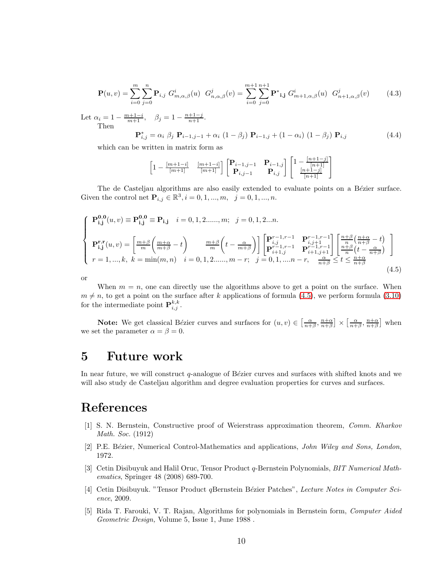$$
\mathbf{P}(u,v) = \sum_{i=0}^{m} \sum_{j=0}^{n} \mathbf{P}_{i,j} \ G_{m,\alpha,\beta}^{i}(u) \ G_{n,\alpha,\beta}^{j}(v) = \sum_{i=0}^{m+1} \sum_{j=0}^{n+1} \mathbf{P}^{*} \mathbf{i,j} \ G_{m+1,\alpha,\beta}^{i}(u) \ G_{n+1,\alpha,\beta}^{j}(v) \tag{4.3}
$$

Let  $\alpha_i = 1 - \frac{m+1-i}{m+1}, \quad \beta_j = 1 - \frac{n+1-j}{n+1}.$ Then

$$
\mathbf{P}_{i,j}^* = \alpha_i \ \beta_j \ \mathbf{P}_{i-1,j-1} + \alpha_i \ (1 - \beta_j) \ \mathbf{P}_{i-1,j} + (1 - \alpha_i) \ (1 - \beta_j) \ \mathbf{P}_{i,j} \tag{4.4}
$$

which can be written in matrix form as

$$
\begin{bmatrix}1-\frac{[m+1-i]}{[m+1]} & \frac{[m+1-i]}{[m+1]}\end{bmatrix}\begin{bmatrix}\mathbf{P}_{i-1,j-1} & \mathbf{P}_{i-1,j} \\ \mathbf{P}_{i,j-1} & \mathbf{P}_{i,j}\end{bmatrix}\begin{bmatrix}1-\frac{[n+1-j]}{[n+1]} \\ \frac{[n+1-j]}{[n+1]}\end{bmatrix}
$$

The de Casteljau algorithms are also easily extended to evaluate points on a Bézier surface. Given the control net  $P_{i,j} \in \mathbb{R}^3, i = 0, 1, ..., m, j = 0, 1, ..., n$ .

<span id="page-9-5"></span>
$$
\begin{cases}\n\mathbf{P_{i,j}^{0,0}}(u,v) \equiv \mathbf{P_{i,j}^{0,0}} \equiv \mathbf{P_{i,j}} & i = 0, 1, 2, \dots, m; \quad j = 0, 1, 2, \dots n.\n\end{cases}
$$
\n
$$
\mathbf{P_{i,j}^{r,r}}(u,v) = \left[\frac{m+\beta}{m}\left(\frac{m+\alpha}{m+\beta} - t\right) - \frac{m+\beta}{m}\left(t - \frac{\alpha}{m+\beta}\right)\right] \left[\begin{matrix}\n\mathbf{P}_{i,j}^{r-1,r-1} & \mathbf{P}_{i,j+1}^{r-1,r-1} \\
\mathbf{P}_{i+1,j}^{r-1,r-1} & \mathbf{P}_{i+1,j}^{r-1,r-1}\n\end{matrix}\right] \left[\begin{matrix}\n\frac{n+\beta}{n}\left(\frac{n+\alpha}{n+\beta} - t\right) \\
\frac{n+\beta}{n}\left(t - \frac{\alpha}{n+\beta}\right)\n\end{matrix}\right]
$$
\n
$$
r = 1, \dots, k, \quad k = \min(m, n) \quad i = 0, 1, 2, \dots, m-r; \quad j = 0, 1, \dots, n-r, \quad \frac{\alpha}{n+\beta} \le t \le \frac{n+\alpha}{n+\beta}
$$
\n
$$
(4.5)
$$

or

When  $m = n$ , one can directly use the algorithms above to get a point on the surface. When  $m \neq n$ , to get a point on the surface after k applications of formula [\(4.5\)](#page-9-5), we perform formula [\(3.10\)](#page-7-2) for the intermediate point  $\mathbf{P}_{i,j}^{k,k}$ .

**Note:** We get classical Bézier curves and surfaces for  $(u, v) \in \left[\frac{\alpha}{n+\beta}, \frac{n+\alpha}{n+\beta}\right] \times \left[\frac{\alpha}{n+\beta}, \frac{n+\alpha}{n+\beta}\right]$  when we set the parameter  $\alpha = \beta = 0$ .

### 5 Future work

In near future, we will construct  $q$ -analogue of Bézier curves and surfaces with shifted knots and we will also study de Casteljau algorithm and degree evaluation properties for curves and surfaces.

# <span id="page-9-0"></span>References

- [1] S. N. Bernstein, Constructive proof of Weierstrass approximation theorem, *Comm. Kharkov Math. Soc.* (1912)
- <span id="page-9-2"></span><span id="page-9-1"></span>[2] P.E. B´ezier, Numerical Control-Mathematics and applications, *John Wiley and Sons, London*, 1972.
- [3] Cetin Disibuyuk and Halil Oruc, Tensor Product q-Bernstein Polynomials, *BIT Numerical Mathematics*, Springer 48 (2008) 689-700.
- <span id="page-9-3"></span>[4] Cetin Disibuyuk. "Tensor Product *q*Bernstein Bézier Patches", *Lecture Notes in Computer Science*, 2009.
- <span id="page-9-4"></span>[5] Rida T. Farouki, V. T. Rajan, Algorithms for polynomials in Bernstein form, *Computer Aided Geometric Design,* Volume 5, Issue 1, June 1988 .